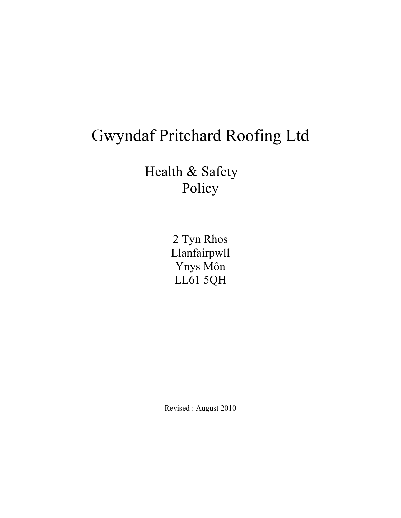## Gwyndaf Pritchard Roofing Ltd

Health & Safety Policy

> 2 Tyn Rhos Llanfairpwll Ynys Môn LL61 5QH

Revised : August 2010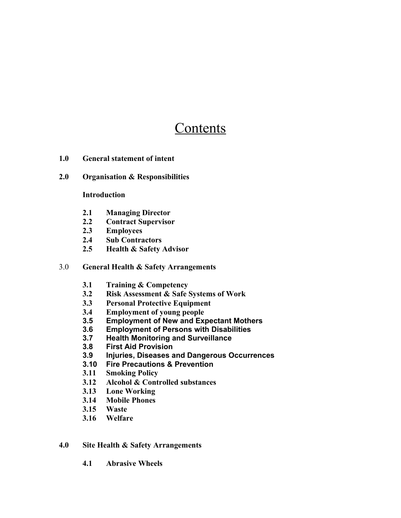### **Contents**

- **1.0 General statement of intent**
- **2.0 Organisation & Responsibilities**

#### **Introduction**

- **2.1 Managing Director**
- **2.2 Contract Supervisor**
- **2.3 Employees**
- **2.4 Sub Contractors**
- **2.5 Health & Safety Advisor**

#### 3.0 **General Health & Safety Arrangements**

- **3.1 Training & Competency**
- **3.2 Risk Assessment & Safe Systems of Work**
- **3.3 Personal Protective Equipment**
- **3.4 Employment of young people**
- **3.5 Employment of New and Expectant Mothers**
- **3.6 Employment of Persons with Disabilities**
- **3.7 Health Monitoring and Surveillance**
- **3.8 First Aid Provision**
- **3.9 Injuries, Diseases and Dangerous Occurrences**
- **3.10 Fire Precautions & Prevention**
- **3.11 Smoking Policy**
- **3.12 Alcohol & Controlled substances**
- **3.13 Lone Working**
- **3.14 Mobile Phones**
- **3.15 Waste**
- **3.16 Welfare**

#### **4.0 Site Health & Safety Arrangements**

**4.1 Abrasive Wheels**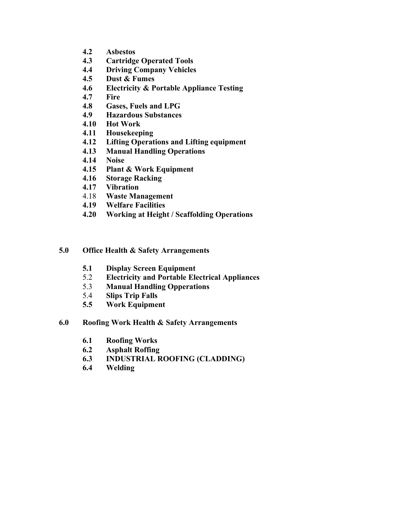- **4.2 Asbestos**
- **4.3 Cartridge Operated Tools**
- **4.4 Driving Company Vehicles**
- **4.5 Dust & Fumes**
- **4.6 Electricity & Portable Appliance Testing**
- **4.7 Fire**
- **4.8 Gases, Fuels and LPG**
- **4.9 Hazardous Substances**
- **4.10 Hot Work**
- **4.11 Housekeeping**
- **4.12 Lifting Operations and Lifting equipment**
- **4.13 Manual Handling Operations**
- **4.14 Noise**
- **4.15 Plant & Work Equipment**
- **4.16 Storage Racking**
- **4.17 Vibration**
- 4.18 **Waste Management**
- **4.19 Welfare Facilities**
- **4.20 Working at Height / Scaffolding Operations**

#### **5.0 Office Health & Safety Arrangements**

- **5.1 Display Screen Equipment**
- 5.2 **Electricity and Portable Electrical Appliances**
- 5.3 **Manual Handling Opperations**
- 5.4 **Slips Trip Falls**
- **5.5 Work Equipment**
- **6.0 Roofing Work Health & Safety Arrangements**
	- **6.1 Roofing Works**
	- **6.2 Asphalt Roffing**
	- **6.3 INDUSTRIAL ROOFING (CLADDING)**
	- **6.4 Welding**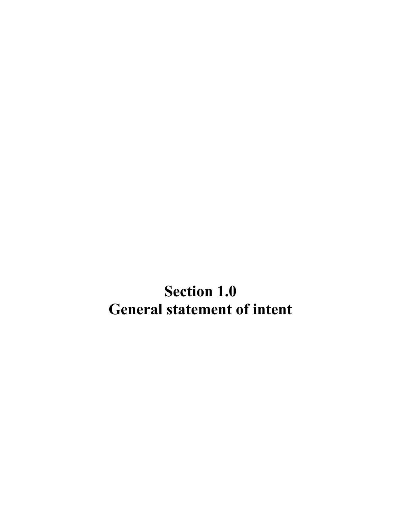**Section 1.0 General statement of intent**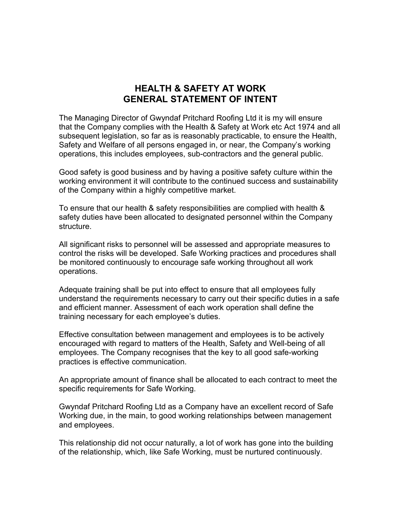#### **HEALTH & SAFETY AT WORK GENERAL STATEMENT OF INTENT**

The Managing Director of Gwyndaf Pritchard Roofing Ltd it is my will ensure that the Company complies with the Health & Safety at Work etc Act 1974 and all subsequent legislation, so far as is reasonably practicable, to ensure the Health, Safety and Welfare of all persons engaged in, or near, the Company's working operations, this includes employees, sub-contractors and the general public.

Good safety is good business and by having a positive safety culture within the working environment it will contribute to the continued success and sustainability of the Company within a highly competitive market.

To ensure that our health & safety responsibilities are complied with health & safety duties have been allocated to designated personnel within the Company structure.

All significant risks to personnel will be assessed and appropriate measures to control the risks will be developed. Safe Working practices and procedures shall be monitored continuously to encourage safe working throughout all work operations.

Adequate training shall be put into effect to ensure that all employees fully understand the requirements necessary to carry out their specific duties in a safe and efficient manner. Assessment of each work operation shall define the training necessary for each employee's duties.

Effective consultation between management and employees is to be actively encouraged with regard to matters of the Health, Safety and Well-being of all employees. The Company recognises that the key to all good safe-working practices is effective communication.

An appropriate amount of finance shall be allocated to each contract to meet the specific requirements for Safe Working.

Gwyndaf Pritchard Roofing Ltd as a Company have an excellent record of Safe Working due, in the main, to good working relationships between management and employees.

This relationship did not occur naturally, a lot of work has gone into the building of the relationship, which, like Safe Working, must be nurtured continuously.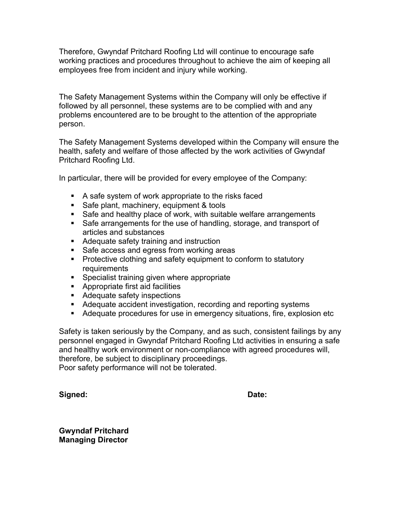Therefore, Gwyndaf Pritchard Roofing Ltd will continue to encourage safe working practices and procedures throughout to achieve the aim of keeping all employees free from incident and injury while working.

The Safety Management Systems within the Company will only be effective if followed by all personnel, these systems are to be complied with and any problems encountered are to be brought to the attention of the appropriate person.

The Safety Management Systems developed within the Company will ensure the health, safety and welfare of those affected by the work activities of Gwyndaf Pritchard Roofing Ltd.

In particular, there will be provided for every employee of the Company:

- A safe system of work appropriate to the risks faced
- Safe plant, machinery, equipment & tools
- Safe and healthy place of work, with suitable welfare arrangements
- Safe arrangements for the use of handling, storage, and transport of articles and substances
- Adequate safety training and instruction
- Safe access and egress from working areas
- **Protective clothing and safety equipment to conform to statutory** requirements
- **Specialist training given where appropriate**
- Appropriate first aid facilities
- **Adequate safety inspections**
- Adequate accident investigation, recording and reporting systems
- Adequate procedures for use in emergency situations, fire, explosion etc

Safety is taken seriously by the Company, and as such, consistent failings by any personnel engaged in Gwyndaf Pritchard Roofing Ltd activities in ensuring a safe and healthy work environment or non-compliance with agreed procedures will, therefore, be subject to disciplinary proceedings. Poor safety performance will not be tolerated.

**Signed: Date:**

**Gwyndaf Pritchard Managing Director**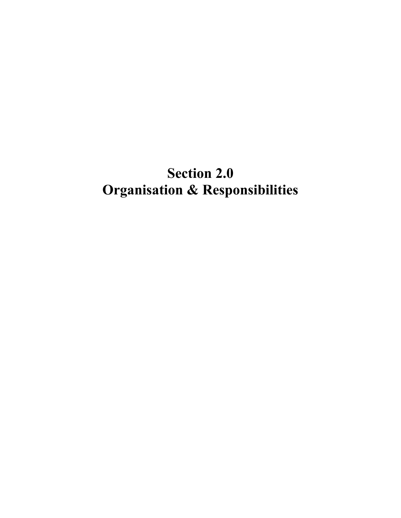### **Section 2.0 Organisation & Responsibilities**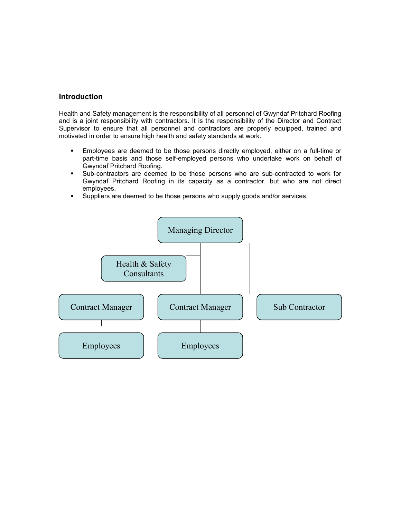#### **Introduction**

Health and Safety management is the responsibility of all personnel of Gwyndaf Pritchard Roofing and is a joint responsibility with contractors. It is the responsibility of the Director and Contract Supervisor to ensure that all personnel and contractors are properly equipped, trained and motivated in order to ensure high health and safety standards at work.

- Employees are deemed to be those persons directly employed, either on a full-time or part-time basis and those self-employed persons who undertake work on behalf of Gwyndaf Pritchard Roofing.
- Sub-contractors are deemed to be those persons who are sub-contracted to work for Gwyndaf Pritchard Roofing in its capacity as a contractor, but who are not direct employees.
- **Suppliers are deemed to be those persons who supply goods and/or services.**

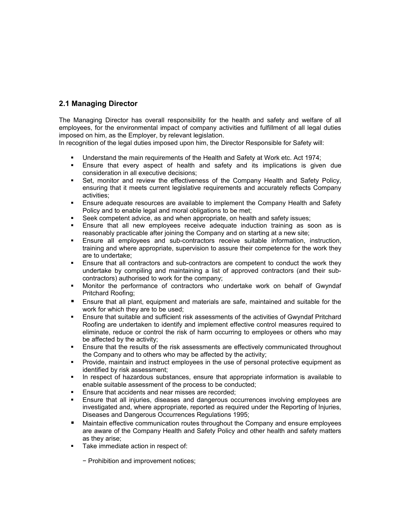#### **2.1 Managing Director**

The Managing Director has overall responsibility for the health and safety and welfare of all employees, for the environmental impact of company activities and fulfillment of all legal duties imposed on him, as the Employer, by relevant legislation.

In recognition of the legal duties imposed upon him, the Director Responsible for Safety will:

- Understand the main requirements of the Health and Safety at Work etc. Act 1974;<br>■ Ensure that every aspect of health and safety and its implications is given
- Ensure that every aspect of health and safety and its implications is given due consideration in all executive decisions;
- Set, monitor and review the effectiveness of the Company Health and Safety Policy, ensuring that it meets current legislative requirements and accurately reflects Company activities;
- Ensure adequate resources are available to implement the Company Health and Safety Policy and to enable legal and moral obligations to be met;
- Seek competent advice, as and when appropriate, on health and safety issues;
- Ensure that all new employees receive adequate induction training as soon as is reasonably practicable after joining the Company and on starting at a new site;
- Ensure all employees and sub-contractors receive suitable information, instruction, training and where appropriate, supervision to assure their competence for the work they are to undertake;
- **Ensure that all contractors and sub-contractors are competent to conduct the work they** undertake by compiling and maintaining a list of approved contractors (and their subcontractors) authorised to work for the company;
- Monitor the performance of contractors who undertake work on behalf of Gwyndaf Pritchard Roofing;
- Ensure that all plant, equipment and materials are safe, maintained and suitable for the work for which they are to be used;
- Ensure that suitable and sufficient risk assessments of the activities of Gwyndaf Pritchard Roofing are undertaken to identify and implement effective control measures required to eliminate, reduce or control the risk of harm occurring to employees or others who may be affected by the activity;
- Ensure that the results of the risk assessments are effectively communicated throughout the Company and to others who may be affected by the activity;
- Provide, maintain and instruct employees in the use of personal protective equipment as identified by risk assessment;
- In respect of hazardous substances, ensure that appropriate information is available to enable suitable assessment of the process to be conducted;
- **Ensure that accidents and near misses are recorded;**
- Ensure that all injuries, diseases and dangerous occurrences involving employees are investigated and, where appropriate, reported as required under the Reporting of Injuries, Diseases and Dangerous Occurrences Regulations 1995;
- Maintain effective communication routes throughout the Company and ensure employees are aware of the Company Health and Safety Policy and other health and safety matters as they arise;
- Take immediate action in respect of:
	- − Prohibition and improvement notices;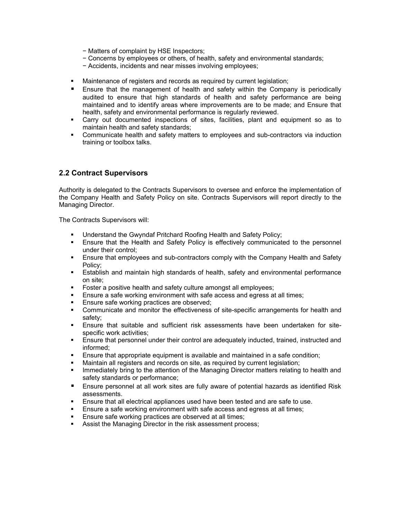- − Matters of complaint by HSE Inspectors;
- − Concerns by employees or others, of health, safety and environmental standards;
- − Accidents, incidents and near misses involving employees;
- Maintenance of registers and records as required by current legislation;
- **E** Ensure that the management of health and safety within the Company is periodically audited to ensure that high standards of health and safety performance are being maintained and to identify areas where improvements are to be made; and Ensure that health, safety and environmental performance is regularly reviewed.
- Carry out documented inspections of sites, facilities, plant and equipment so as to maintain health and safety standards;
- Communicate health and safety matters to employees and sub-contractors via induction training or toolbox talks.

#### **2.2 Contract Supervisors**

Authority is delegated to the Contracts Supervisors to oversee and enforce the implementation of the Company Health and Safety Policy on site. Contracts Supervisors will report directly to the Managing Director.

The Contracts Supervisors will:

- Understand the Gwyndaf Pritchard Roofing Health and Safety Policy;
- Ensure that the Health and Safety Policy is effectively communicated to the personnel under their control;
- Ensure that employees and sub-contractors comply with the Company Health and Safety Policy;
- **Establish and maintain high standards of health, safety and environmental performance** on site;
- **Foster a positive health and safety culture amongst all employees;**
- Ensure a safe working environment with safe access and egress at all times;
- **Ensure safe working practices are observed;**
- **•** Communicate and monitor the effectiveness of site-specific arrangements for health and safety;
- Ensure that suitable and sufficient risk assessments have been undertaken for sitespecific work activities;
- Ensure that personnel under their control are adequately inducted, trained, instructed and informed;
- Ensure that appropriate equipment is available and maintained in a safe condition;
- Maintain all registers and records on site, as required by current legislation;
- **IMMED 19 EXECUTE:** Immediately bring to the attention of the Managing Director matters relating to health and safety standards or performance;
- Ensure personnel at all work sites are fully aware of potential hazards as identified Risk assessments.
- Ensure that all electrical appliances used have been tested and are safe to use.
- **Ensure a safe working environment with safe access and egress at all times;**
- **Ensure safe working practices are observed at all times;**
- **Assist the Managing Director in the risk assessment process;**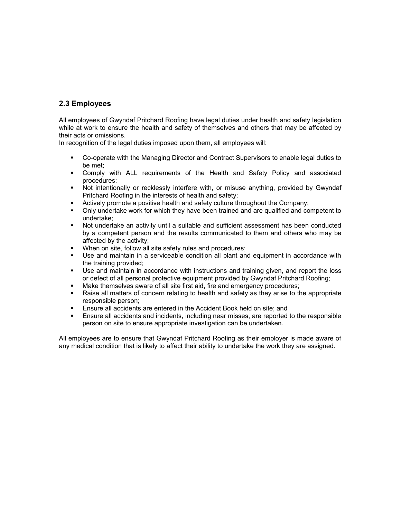#### **2.3 Employees**

All employees of Gwyndaf Pritchard Roofing have legal duties under health and safety legislation while at work to ensure the health and safety of themselves and others that may be affected by their acts or omissions.

In recognition of the legal duties imposed upon them, all employees will:

- Co-operate with the Managing Director and Contract Supervisors to enable legal duties to be met;
- Comply with ALL requirements of the Health and Safety Policy and associated procedures;
- Not intentionally or recklessly interfere with, or misuse anything, provided by Gwyndaf Pritchard Roofing in the interests of health and safety;
- Actively promote a positive health and safety culture throughout the Company;
- Only undertake work for which they have been trained and are qualified and competent to undertake;
- Not undertake an activity until a suitable and sufficient assessment has been conducted by a competent person and the results communicated to them and others who may be affected by the activity;
- When on site, follow all site safety rules and procedures;
- Use and maintain in a serviceable condition all plant and equipment in accordance with the training provided;
- Use and maintain in accordance with instructions and training given, and report the loss or defect of all personal protective equipment provided by Gwyndaf Pritchard Roofing;
- Make themselves aware of all site first aid, fire and emergency procedures;
- Raise all matters of concern relating to health and safety as they arise to the appropriate responsible person;
- **Ensure all accidents are entered in the Accident Book held on site; and**
- Ensure all accidents and incidents, including near misses, are reported to the responsible person on site to ensure appropriate investigation can be undertaken.

All employees are to ensure that Gwyndaf Pritchard Roofing as their employer is made aware of any medical condition that is likely to affect their ability to undertake the work they are assigned.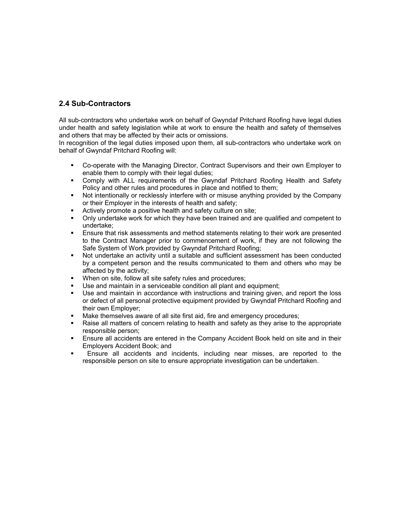#### **2.4 Sub-Contractors**

All sub-contractors who undertake work on behalf of Gwyndaf Pritchard Roofing have legal duties under health and safety legislation while at work to ensure the health and safety of themselves and others that may be affected by their acts or omissions.

In recognition of the legal duties imposed upon them, all sub-contractors who undertake work on behalf of Gwyndaf Pritchard Roofing will:

- Co-operate with the Managing Director, Contract Supervisors and their own Employer to enable them to comply with their legal duties;
- Comply with ALL requirements of the Gwyndaf Pritchard Roofing Health and Safety Policy and other rules and procedures in place and notified to them;
- Not intentionally or recklessly interfere with or misuse anything provided by the Company or their Employer in the interests of health and safety;
- **EXTERN** Actively promote a positive health and safety culture on site:
- Only undertake work for which they have been trained and are qualified and competent to undertake;
- Ensure that risk assessments and method statements relating to their work are presented to the Contract Manager prior to commencement of work, if they are not following the Safe System of Work provided by Gwyndaf Pritchard Roofing;
- Not undertake an activity until a suitable and sufficient assessment has been conducted by a competent person and the results communicated to them and others who may be affected by the activity;
- When on site, follow all site safety rules and procedures;
- Use and maintain in a serviceable condition all plant and equipment;
- Use and maintain in accordance with instructions and training given, and report the loss or defect of all personal protective equipment provided by Gwyndaf Pritchard Roofing and their own Employer;
- Make themselves aware of all site first aid, fire and emergency procedures;
- Raise all matters of concern relating to health and safety as they arise to the appropriate responsible person;
- Ensure all accidents are entered in the Company Accident Book held on site and in their Employers Accident Book; and
- Ensure all accidents and incidents, including near misses, are reported to the responsible person on site to ensure appropriate investigation can be undertaken.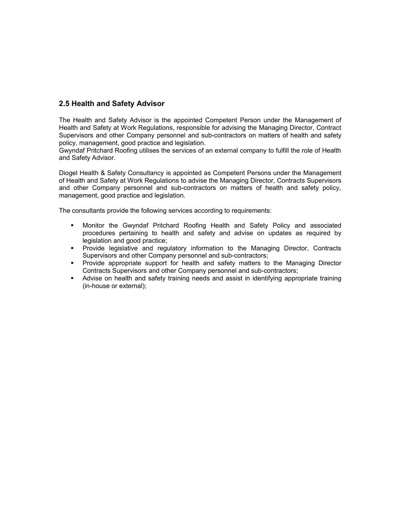#### **2.5 Health and Safety Advisor**

The Health and Safety Advisor is the appointed Competent Person under the Management of Health and Safety at Work Regulations, responsible for advising the Managing Director, Contract Supervisors and other Company personnel and sub-contractors on matters of health and safety policy, management, good practice and legislation.

Gwyndaf Pritchard Roofing utilises the services of an external company to fulfill the role of Health and Safety Advisor.

Diogel Health & Safety Consultancy is appointed as Competent Persons under the Management of Health and Safety at Work Regulations to advise the Managing Director, Contracts Supervisors and other Company personnel and sub-contractors on matters of health and safety policy, management, good practice and legislation.

The consultants provide the following services according to requirements:

- Monitor the Gwyndaf Pritchard Roofing Health and Safety Policy and associated procedures pertaining to health and safety and advise on updates as required by legislation and good practice;
- Provide legislative and regulatory information to the Managing Director, Contracts Supervisors and other Company personnel and sub-contractors;
- Provide appropriate support for health and safety matters to the Managing Director Contracts Supervisors and other Company personnel and sub-contractors;
- Advise on health and safety training needs and assist in identifying appropriate training (in-house or external);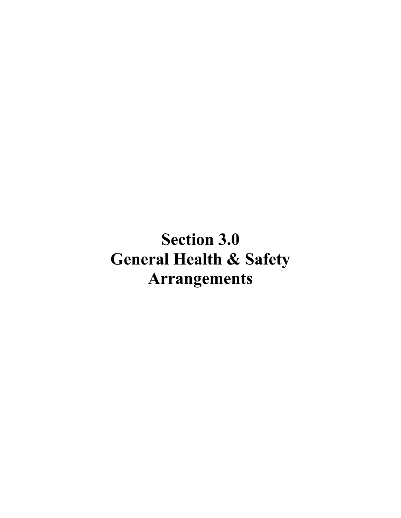# **Section 3.0 General Health & Safety Arrangements**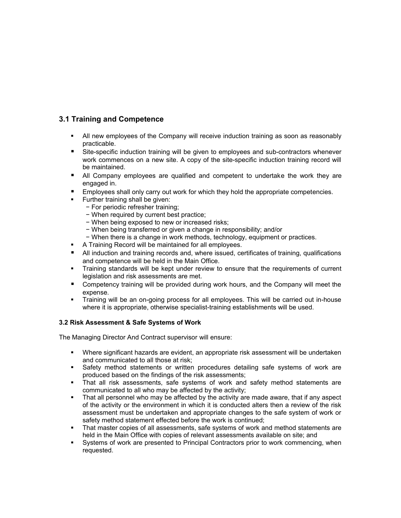#### **3.1 Training and Competence**

- All new employees of the Company will receive induction training as soon as reasonably practicable.
- **Site-specific induction training will be given to employees and sub-contractors whenever** work commences on a new site. A copy of the site-specific induction training record will be maintained.
- **All Company employees are qualified and competent to undertake the work they are** engaged in.
- **Employees shall only carry out work for which they hold the appropriate competencies.**
- **Further training shall be given:** 
	- − For periodic refresher training;
	- − When required by current best practice;
	- − When being exposed to new or increased risks;
	- − When being transferred or given a change in responsibility; and/or
	- − When there is a change in work methods, technology, equipment or practices.
- **A Training Record will be maintained for all employees.**
- **All induction and training records and, where issued, certificates of training, qualifications** and competence will be held in the Main Office.
- Training standards will be kept under review to ensure that the requirements of current legislation and risk assessments are met.
- **EX Competency training will be provided during work hours, and the Company will meet the** expense.
- Training will be an on-going process for all employees. This will be carried out in-house where it is appropriate, otherwise specialist-training establishments will be used.

#### **3.2 Risk Assessment & Safe Systems of Work**

The Managing Director And Contract supervisor will ensure:

- Where significant hazards are evident, an appropriate risk assessment will be undertaken and communicated to all those at risk;
- **Safety method statements or written procedures detailing safe systems of work are** produced based on the findings of the risk assessments;
- That all risk assessments, safe systems of work and safety method statements are communicated to all who may be affected by the activity;
- That all personnel who may be affected by the activity are made aware, that if any aspect of the activity or the environment in which it is conducted alters then a review of the risk assessment must be undertaken and appropriate changes to the safe system of work or safety method statement effected before the work is continued;
- That master copies of all assessments, safe systems of work and method statements are held in the Main Office with copies of relevant assessments available on site; and
- Systems of work are presented to Principal Contractors prior to work commencing, when requested.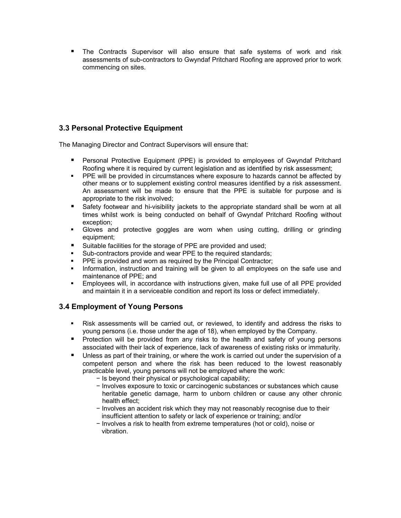The Contracts Supervisor will also ensure that safe systems of work and risk assessments of sub-contractors to Gwyndaf Pritchard Roofing are approved prior to work commencing on sites.

#### **3.3 Personal Protective Equipment**

The Managing Director and Contract Supervisors will ensure that:

- Personal Protective Equipment (PPE) is provided to employees of Gwyndaf Pritchard Roofing where it is required by current legislation and as identified by risk assessment;
- **PPE will be provided in circumstances where exposure to hazards cannot be affected by** other means or to supplement existing control measures identified by a risk assessment. An assessment will be made to ensure that the PPE is suitable for purpose and is appropriate to the risk involved;
- Safety footwear and hi-visibility jackets to the appropriate standard shall be worn at all times whilst work is being conducted on behalf of Gwyndaf Pritchard Roofing without exception;
- Gloves and protective goggles are worn when using cutting, drilling or grinding equipment;
- Suitable facilities for the storage of PPE are provided and used;
- **Sub-contractors provide and wear PPE to the required standards;**
- **PPE** is provided and worn as required by the Principal Contractor;
- **Information, instruction and training will be given to all employees on the safe use and** maintenance of PPE; and
- Employees will, in accordance with instructions given, make full use of all PPE provided and maintain it in a serviceable condition and report its loss or defect immediately.

#### **3.4 Employment of Young Persons**

- Risk assessments will be carried out, or reviewed, to identify and address the risks to young persons (i.e. those under the age of 18), when employed by the Company.
- **Protection will be provided from any risks to the health and safety of young persons** associated with their lack of experience, lack of awareness of existing risks or immaturity.
- **Unless as part of their training, or where the work is carried out under the supervision of a** competent person and where the risk has been reduced to the lowest reasonably practicable level, young persons will not be employed where the work:
	- − Is beyond their physical or psychological capability;
	- − Involves exposure to toxic or carcinogenic substances or substances which cause heritable genetic damage, harm to unborn children or cause any other chronic health effect;
	- − Involves an accident risk which they may not reasonably recognise due to their insufficient attention to safety or lack of experience or training; and/or
	- − Involves a risk to health from extreme temperatures (hot or cold), noise or vibration.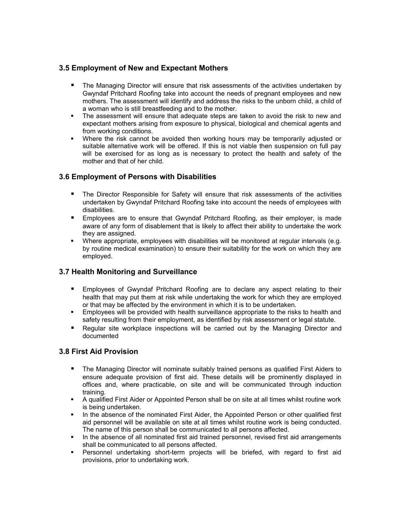#### **3.5 Employment of New and Expectant Mothers**

- **The Managing Director will ensure that risk assessments of the activities undertaken by** Gwyndaf Pritchard Roofing take into account the needs of pregnant employees and new mothers. The assessment will identify and address the risks to the unborn child, a child of a woman who is still breastfeeding and to the mother.
- The assessment will ensure that adequate steps are taken to avoid the risk to new and expectant mothers arising from exposure to physical, biological and chemical agents and from working conditions.
- Where the risk cannot be avoided then working hours may be temporarily adjusted or suitable alternative work will be offered. If this is not viable then suspension on full pay will be exercised for as long as is necessary to protect the health and safety of the mother and that of her child.

#### **3.6 Employment of Persons with Disabilities**

- **The Director Responsible for Safety will ensure that risk assessments of the activities** undertaken by Gwyndaf Pritchard Roofing take into account the needs of employees with disabilities.
- **Employees are to ensure that Gwyndaf Pritchard Roofing, as their employer, is made** aware of any form of disablement that is likely to affect their ability to undertake the work they are assigned.
- Where appropriate, employees with disabilities will be monitored at regular intervals (e.g. by routine medical examination) to ensure their suitability for the work on which they are employed.

#### **3.7 Health Monitoring and Surveillance**

- **Employees of Gwyndaf Pritchard Roofing are to declare any aspect relating to their** health that may put them at risk while undertaking the work for which they are employed or that may be affected by the environment in which it is to be undertaken.
- Employees will be provided with health surveillance appropriate to the risks to health and safety resulting from their employment, as identified by risk assessment or legal statute.
- Regular site workplace inspections will be carried out by the Managing Director and documented

#### **3.8 First Aid Provision**

- The Managing Director will nominate suitably trained persons as qualified First Aiders to ensure adequate provision of first aid. These details will be prominently displayed in offices and, where practicable, on site and will be communicated through induction training.
- A qualified First Aider or Appointed Person shall be on site at all times whilst routine work is being undertaken.
- In the absence of the nominated First Aider, the Appointed Person or other qualified first aid personnel will be available on site at all times whilst routine work is being conducted. The name of this person shall be communicated to all persons affected.
- In the absence of all nominated first aid trained personnel, revised first aid arrangements shall be communicated to all persons affected.
- Personnel undertaking short-term projects will be briefed, with regard to first aid provisions, prior to undertaking work.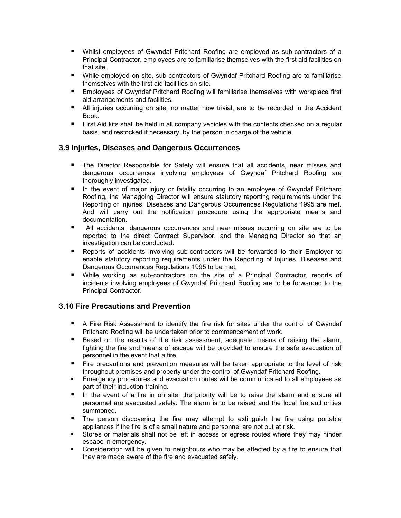- Whilst employees of Gwyndaf Pritchard Roofing are employed as sub-contractors of a Principal Contractor, employees are to familiarise themselves with the first aid facilities on that site.
- **Nile employed on site, sub-contractors of Gwyndaf Pritchard Roofing are to familiarise** themselves with the first aid facilities on site.
- **Employees of Gwyndaf Pritchard Roofing will familiarise themselves with workplace first** aid arrangements and facilities.
- **All injuries occurring on site, no matter how trivial, are to be recorded in the Accident** Book.
- **First Aid kits shall be held in all company vehicles with the contents checked on a regular** basis, and restocked if necessary, by the person in charge of the vehicle.

#### **3.9 Injuries, Diseases and Dangerous Occurrences**

- The Director Responsible for Safety will ensure that all accidents, near misses and dangerous occurrences involving employees of Gwyndaf Pritchard Roofing are thoroughly investigated.
- **If** In the event of major injury or fatality occurring to an employee of Gwyndaf Pritchard Roofing, the Managoing Director will ensure statutory reporting requirements under the Reporting of Injuries, Diseases and Dangerous Occurrences Regulations 1995 are met. And will carry out the notification procedure using the appropriate means and documentation.
- All accidents, dangerous occurrences and near misses occurring on site are to be reported to the direct Contract Supervisor, and the Managing Director so that an investigation can be conducted.
- **Reports of accidents involving sub-contractors will be forwarded to their Employer to** enable statutory reporting requirements under the Reporting of Injuries, Diseases and Dangerous Occurrences Regulations 1995 to be met.
- While working as sub-contractors on the site of a Principal Contractor, reports of incidents involving employees of Gwyndaf Pritchard Roofing are to be forwarded to the Principal Contractor.

#### **3.10 Fire Precautions and Prevention**

- A Fire Risk Assessment to identify the fire risk for sites under the control of Gwyndaf Pritchard Roofing will be undertaken prior to commencement of work.
- **Based on the results of the risk assessment, adequate means of raising the alarm,** fighting the fire and means of escape will be provided to ensure the safe evacuation of personnel in the event that a fire.
- Fire precautions and prevention measures will be taken appropriate to the level of risk throughout premises and property under the control of Gwyndaf Pritchard Roofing.
- Emergency procedures and evacuation routes will be communicated to all employees as part of their induction training.
- In the event of a fire in on site, the priority will be to raise the alarm and ensure all personnel are evacuated safely. The alarm is to be raised and the local fire authorities summoned.
- **The person discovering the fire may attempt to extinguish the fire using portable** appliances if the fire is of a small nature and personnel are not put at risk.
- Stores or materials shall not be left in access or egress routes where they may hinder escape in emergency.
- Consideration will be given to neighbours who may be affected by a fire to ensure that they are made aware of the fire and evacuated safely.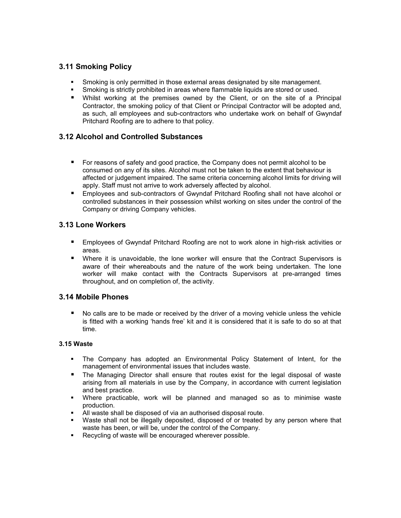#### **3.11 Smoking Policy**

- Smoking is only permitted in those external areas designated by site management.
- **Smoking is strictly prohibited in areas where flammable liquids are stored or used.**
- Whilst working at the premises owned by the Client, or on the site of a Principal Contractor, the smoking policy of that Client or Principal Contractor will be adopted and, as such, all employees and sub-contractors who undertake work on behalf of Gwyndaf Pritchard Roofing are to adhere to that policy.

#### **3.12 Alcohol and Controlled Substances**

- For reasons of safety and good practice, the Company does not permit alcohol to be consumed on any of its sites. Alcohol must not be taken to the extent that behaviour is affected or judgement impaired. The same criteria concerning alcohol limits for driving will apply. Staff must not arrive to work adversely affected by alcohol.
- **Employees and sub-contractors of Gwyndaf Pritchard Roofing shall not have alcohol or** controlled substances in their possession whilst working on sites under the control of the Company or driving Company vehicles.

#### **3.13 Lone Workers**

- Employees of Gwyndaf Pritchard Roofing are not to work alone in high-risk activities or areas.
- Where it is unavoidable, the lone worker will ensure that the Contract Supervisors is aware of their whereabouts and the nature of the work being undertaken. The lone worker will make contact with the Contracts Supervisors at pre-arranged times throughout, and on completion of, the activity.

#### **3.14 Mobile Phones**

 No calls are to be made or received by the driver of a moving vehicle unless the vehicle is fitted with a working 'hands free' kit and it is considered that it is safe to do so at that time.

#### **3.15 Waste**

- The Company has adopted an Environmental Policy Statement of Intent, for the management of environmental issues that includes waste.
- The Managing Director shall ensure that routes exist for the legal disposal of waste arising from all materials in use by the Company, in accordance with current legislation and best practice.
- Where practicable, work will be planned and managed so as to minimise waste production.
- All waste shall be disposed of via an authorised disposal route.
- Waste shall not be illegally deposited, disposed of or treated by any person where that waste has been, or will be, under the control of the Company.
- Recycling of waste will be encouraged wherever possible.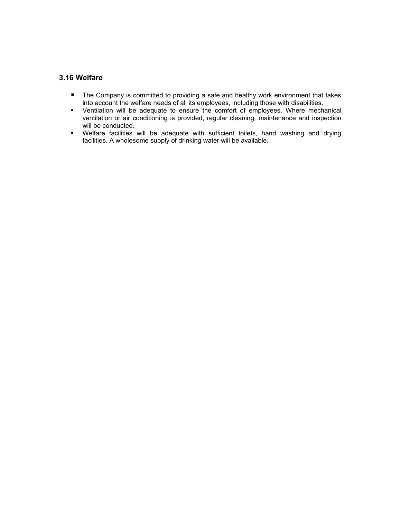#### **3.16 Welfare**

- **The Company is committed to providing a safe and healthy work environment that takes** into account the welfare needs of all its employees, including those with disabilities.
- Ventilation will be adequate to ensure the comfort of employees. Where mechanical ventilation or air conditioning is provided, regular cleaning, maintenance and inspection will be conducted.
- Welfare facilities will be adequate with sufficient toilets, hand washing and drying facilities. A wholesome supply of drinking water will be available.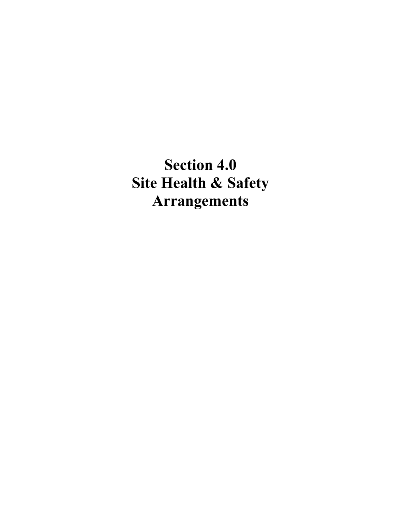**Section 4.0 Site Health & Safety Arrangements**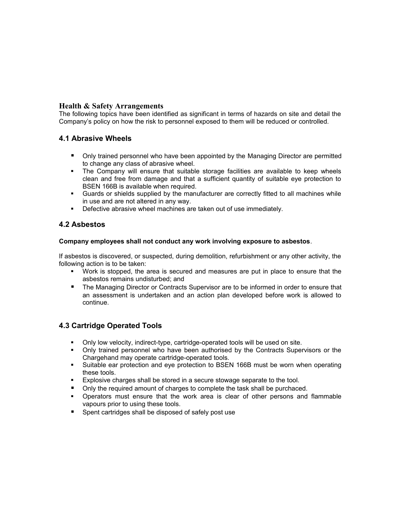#### **Health & Safety Arrangements**

The following topics have been identified as significant in terms of hazards on site and detail the Company's policy on how the risk to personnel exposed to them will be reduced or controlled.

#### **4.1 Abrasive Wheels**

- **Only trained personnel who have been appointed by the Managing Director are permitted** to change any class of abrasive wheel.
- The Company will ensure that suitable storage facilities are available to keep wheels clean and free from damage and that a sufficient quantity of suitable eye protection to BSEN 166B is available when required.
- Guards or shields supplied by the manufacturer are correctly fitted to all machines while in use and are not altered in any way.
- **-** Defective abrasive wheel machines are taken out of use immediately.

#### **4.2 Asbestos**

#### **Company employees shall not conduct any work involving exposure to asbestos**.

If asbestos is discovered, or suspected, during demolition, refurbishment or any other activity, the following action is to be taken:

- Work is stopped, the area is secured and measures are put in place to ensure that the asbestos remains undisturbed; and
- **The Managing Director or Contracts Supervisor are to be informed in order to ensure that** an assessment is undertaken and an action plan developed before work is allowed to continue.

#### **4.3 Cartridge Operated Tools**

- Only low velocity, indirect-type, cartridge-operated tools will be used on site.
- Only trained personnel who have been authorised by the Contracts Supervisors or the Chargehand may operate cartridge-operated tools.
- Suitable ear protection and eye protection to BSEN 166B must be worn when operating these tools.
- Explosive charges shall be stored in a secure stowage separate to the tool.
- Only the required amount of charges to complete the task shall be purchaced.
- Operators must ensure that the work area is clear of other persons and flammable vapours prior to using these tools.
- Spent cartridges shall be disposed of safely post use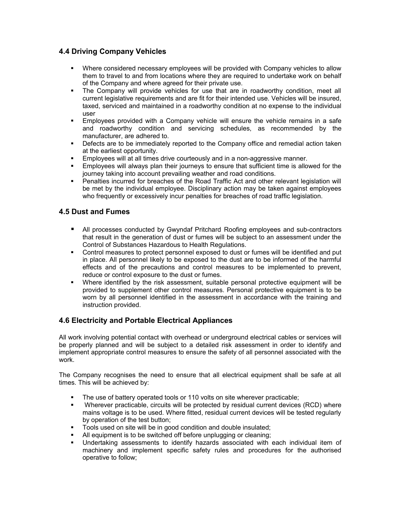#### **4.4 Driving Company Vehicles**

- Where considered necessary employees will be provided with Company vehicles to allow them to travel to and from locations where they are required to undertake work on behalf of the Company and where agreed for their private use.
- The Company will provide vehicles for use that are in roadworthy condition, meet all current legislative requirements and are fit for their intended use. Vehicles will be insured, taxed, serviced and maintained in a roadworthy condition at no expense to the individual user
- Employees provided with a Company vehicle will ensure the vehicle remains in a safe and roadworthy condition and servicing schedules, as recommended by the manufacturer, are adhered to.
- Defects are to be immediately reported to the Company office and remedial action taken at the earliest opportunity.
- **Employees will at all times drive courteously and in a non-aggressive manner.**
- Employees will always plan their journeys to ensure that sufficient time is allowed for the journey taking into account prevailing weather and road conditions.
- Penalties incurred for breaches of the Road Traffic Act and other relevant legislation will be met by the individual employee. Disciplinary action may be taken against employees who frequently or excessively incur penalties for breaches of road traffic legislation.

#### **4.5 Dust and Fumes**

- All processes conducted by Gwyndaf Pritchard Roofing employees and sub-contractors that result in the generation of dust or fumes will be subject to an assessment under the Control of Substances Hazardous to Health Regulations.
- Control measures to protect personnel exposed to dust or fumes will be identified and put in place. All personnel likely to be exposed to the dust are to be informed of the harmful effects and of the precautions and control measures to be implemented to prevent, reduce or control exposure to the dust or fumes.
- Where identified by the risk assessment, suitable personal protective equipment will be provided to supplement other control measures. Personal protective equipment is to be worn by all personnel identified in the assessment in accordance with the training and instruction provided.

#### **4.6 Electricity and Portable Electrical Appliances**

All work involving potential contact with overhead or underground electrical cables or services will be properly planned and will be subject to a detailed risk assessment in order to identify and implement appropriate control measures to ensure the safety of all personnel associated with the work.

The Company recognises the need to ensure that all electrical equipment shall be safe at all times. This will be achieved by:

- The use of battery operated tools or 110 volts on site wherever practicable;
- Wherever practicable, circuits will be protected by residual current devices (RCD) where mains voltage is to be used. Where fitted, residual current devices will be tested regularly by operation of the test button;
- **Tools used on site will be in good condition and double insulated;**
- All equipment is to be switched off before unplugging or cleaning;
- Undertaking assessments to identify hazards associated with each individual item of machinery and implement specific safety rules and procedures for the authorised operative to follow;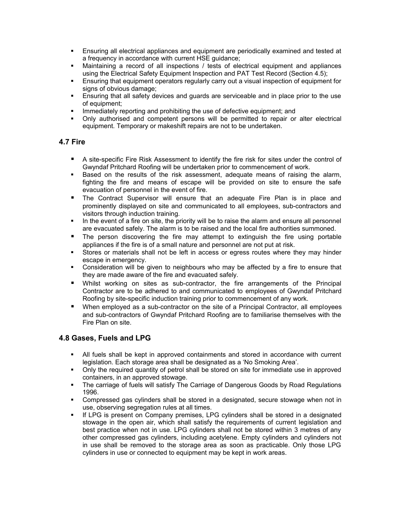- Ensuring all electrical appliances and equipment are periodically examined and tested at a frequency in accordance with current HSE guidance;
- Maintaining a record of all inspections / tests of electrical equipment and appliances using the Electrical Safety Equipment Inspection and PAT Test Record (Section 4.5);
- Ensuring that equipment operators regularly carry out a visual inspection of equipment for signs of obvious damage;
- Ensuring that all safety devices and guards are serviceable and in place prior to the use of equipment;
- Immediately reporting and prohibiting the use of defective equipment; and
- Only authorised and competent persons will be permitted to repair or alter electrical equipment. Temporary or makeshift repairs are not to be undertaken.

#### **4.7 Fire**

- A site-specific Fire Risk Assessment to identify the fire risk for sites under the control of Gwyndaf Pritchard Roofing will be undertaken prior to commencement of work.
- **Based on the results of the risk assessment, adequate means of raising the alarm,** fighting the fire and means of escape will be provided on site to ensure the safe evacuation of personnel in the event of fire.
- The Contract Supervisor will ensure that an adequate Fire Plan is in place and prominently displayed on site and communicated to all employees, sub-contractors and visitors through induction training.
- In the event of a fire on site, the priority will be to raise the alarm and ensure all personnel are evacuated safely. The alarm is to be raised and the local fire authorities summoned.
- **The person discovering the fire may attempt to extinguish the fire using portable** appliances if the fire is of a small nature and personnel are not put at risk.
- Stores or materials shall not be left in access or egress routes where they may hinder escape in emergency.
- Consideration will be given to neighbours who may be affected by a fire to ensure that they are made aware of the fire and evacuated safely.
- Whilst working on sites as sub-contractor, the fire arrangements of the Principal Contractor are to be adhered to and communicated to employees of Gwyndaf Pritchard Roofing by site-specific induction training prior to commencement of any work.
- When employed as a sub-contractor on the site of a Principal Contractor, all employees and sub-contractors of Gwyndaf Pritchard Roofing are to familiarise themselves with the Fire Plan on site.

#### **4.8 Gases, Fuels and LPG**

- All fuels shall be kept in approved containments and stored in accordance with current legislation. Each storage area shall be designated as a 'No Smoking Area'.
- Only the required quantity of petrol shall be stored on site for immediate use in approved containers, in an approved stowage.
- The carriage of fuels will satisfy The Carriage of Dangerous Goods by Road Regulations 1996.
- Compressed gas cylinders shall be stored in a designated, secure stowage when not in use, observing segregation rules at all times.
- If LPG is present on Company premises, LPG cylinders shall be stored in a designated stowage in the open air, which shall satisfy the requirements of current legislation and best practice when not in use. LPG cylinders shall not be stored within 3 metres of any other compressed gas cylinders, including acetylene. Empty cylinders and cylinders not in use shall be removed to the storage area as soon as practicable. Only those LPG cylinders in use or connected to equipment may be kept in work areas.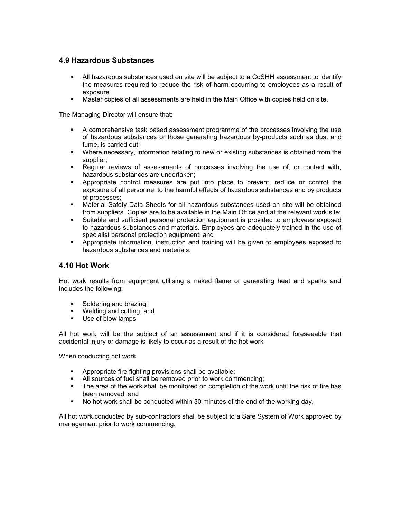#### **4.9 Hazardous Substances**

- All hazardous substances used on site will be subject to a CoSHH assessment to identify the measures required to reduce the risk of harm occurring to employees as a result of exposure.
- Master copies of all assessments are held in the Main Office with copies held on site.

The Managing Director will ensure that:

- A comprehensive task based assessment programme of the processes involving the use of hazardous substances or those generating hazardous by-products such as dust and fume, is carried out;
- Where necessary, information relating to new or existing substances is obtained from the supplier;
- Regular reviews of assessments of processes involving the use of, or contact with, hazardous substances are undertaken;
- Appropriate control measures are put into place to prevent, reduce or control the exposure of all personnel to the harmful effects of hazardous substances and by products of processes;
- Material Safety Data Sheets for all hazardous substances used on site will be obtained from suppliers. Copies are to be available in the Main Office and at the relevant work site;
- Suitable and sufficient personal protection equipment is provided to employees exposed to hazardous substances and materials. Employees are adequately trained in the use of specialist personal protection equipment; and
- Appropriate information, instruction and training will be given to employees exposed to hazardous substances and materials.

#### **4.10 Hot Work**

Hot work results from equipment utilising a naked flame or generating heat and sparks and includes the following:

- Soldering and brazing:
- **Welding and cutting; and**
- Use of blow lamps

All hot work will be the subject of an assessment and if it is considered foreseeable that accidental injury or damage is likely to occur as a result of the hot work

When conducting hot work:

- **Appropriate fire fighting provisions shall be available:**
- All sources of fuel shall be removed prior to work commencing;
- The area of the work shall be monitored on completion of the work until the risk of fire has been removed; and
- No hot work shall be conducted within 30 minutes of the end of the working day.

All hot work conducted by sub-contractors shall be subject to a Safe System of Work approved by management prior to work commencing.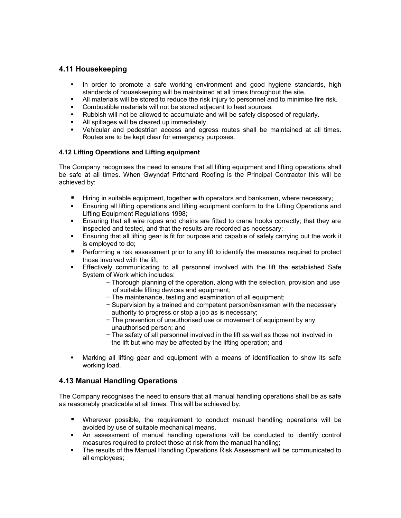#### **4.11 Housekeeping**

- In order to promote a safe working environment and good hygiene standards, high standards of housekeeping will be maintained at all times throughout the site.
- All materials will be stored to reduce the risk injury to personnel and to minimise fire risk.
- **Combustible materials will not be stored adjacent to heat sources.**
- Rubbish will not be allowed to accumulate and will be safely disposed of regularly.
- All spillages will be cleared up immediately.
- Vehicular and pedestrian access and egress routes shall be maintained at all times. Routes are to be kept clear for emergency purposes.

#### **4.12 Lifting Operations and Lifting equipment**

The Company recognises the need to ensure that all lifting equipment and lifting operations shall be safe at all times. When Gwyndaf Pritchard Roofing is the Principal Contractor this will be achieved by:

- **Hiring in suitable equipment, together with operators and banksmen, where necessary;**
- Ensuring all lifting operations and lifting equipment conform to the Lifting Operations and Lifting Equipment Regulations 1998;
- Ensuring that all wire ropes and chains are fitted to crane hooks correctly; that they are inspected and tested, and that the results are recorded as necessary;
- Ensuring that all lifting gear is fit for purpose and capable of safely carrying out the work it is employed to do;
- **Performing a risk assessment prior to any lift to identify the measures required to protect** those involved with the lift;
- Effectively communicating to all personnel involved with the lift the established Safe System of Work which includes:
	- − Thorough planning of the operation, along with the selection, provision and use of suitable lifting devices and equipment;
	- − The maintenance, testing and examination of all equipment;
	- − Supervision by a trained and competent person/banksman with the necessary authority to progress or stop a job as is necessary;
	- − The prevention of unauthorised use or movement of equipment by any unauthorised person; and
	- − The safety of all personnel involved in the lift as well as those not involved in the lift but who may be affected by the lifting operation; and
- Marking all lifting gear and equipment with a means of identification to show its safe working load.

#### **4.13 Manual Handling Operations**

The Company recognises the need to ensure that all manual handling operations shall be as safe as reasonably practicable at all times. This will be achieved by:

- Wherever possible, the requirement to conduct manual handling operations will be avoided by use of suitable mechanical means.
- An assessment of manual handling operations will be conducted to identify control measures required to protect those at risk from the manual handling;
- The results of the Manual Handling Operations Risk Assessment will be communicated to all employees;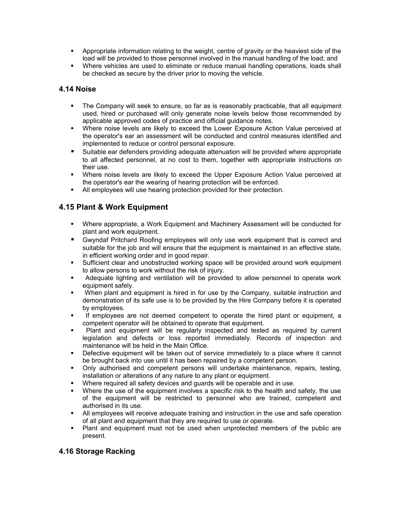- Appropriate information relating to the weight, centre of gravity or the heaviest side of the load will be provided to those personnel involved in the manual handling of the load; and
- Where vehicles are used to eliminate or reduce manual handling operations, loads shall be checked as secure by the driver prior to moving the vehicle.

#### **4.14 Noise**

- The Company will seek to ensure, so far as is reasonably practicable, that all equipment used, hired or purchased will only generate noise levels below those recommended by applicable approved codes of practice and official guidance notes.
- Where noise levels are likely to exceed the Lower Exposure Action Value perceived at the operator's ear an assessment will be conducted and control measures identified and implemented to reduce or control personal exposure.
- Suitable ear defenders providing adequate attenuation will be provided where appropriate to all affected personnel, at no cost to them, together with appropriate instructions on their use.
- Where noise levels are likely to exceed the Upper Exposure Action Value perceived at the operator's ear the wearing of hearing protection will be enforced.
- All employees will use hearing protection provided for their protection.

#### **4.15 Plant & Work Equipment**

- Where appropriate, a Work Equipment and Machinery Assessment will be conducted for plant and work equipment.
- Gwyndaf Pritchard Roofing employees will only use work equipment that is correct and suitable for the job and will ensure that the equipment is maintained in an effective state, in efficient working order and in good repair.
- Sufficient clear and unobstructed working space will be provided around work equipment to allow persons to work without the risk of injury.
- Adequate lighting and ventilation will be provided to allow personnel to operate work equipment safely.
- When plant and equipment is hired in for use by the Company, suitable instruction and demonstration of its safe use is to be provided by the Hire Company before it is operated by employees.
- If employees are not deemed competent to operate the hired plant or equipment, a competent operator will be obtained to operate that equipment.
- Plant and equipment will be regularly inspected and tested as required by current legislation and defects or loss reported immediately. Records of inspection and maintenance will be held in the Main Office.
- **•** Defective equipment will be taken out of service immediately to a place where it cannot be brought back into use until it has been repaired by a competent person.
- Only authorised and competent persons will undertake maintenance, repairs, testing, installation or alterations of any nature to any plant or equipment.
- Where required all safety devices and quards will be operable and in use.
- Where the use of the equipment involves a specific risk to the health and safety, the use of the equipment will be restricted to personnel who are trained, competent and authorised in its use.
- All employees will receive adequate training and instruction in the use and safe operation of all plant and equipment that they are required to use or operate.
- Plant and equipment must not be used when unprotected members of the public are present.

#### **4.16 Storage Racking**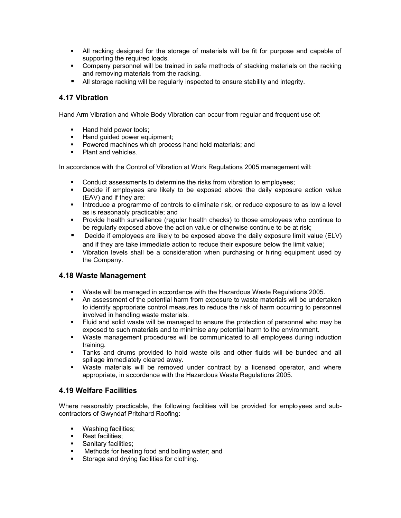- All racking designed for the storage of materials will be fit for purpose and capable of supporting the required loads.
- Company personnel will be trained in safe methods of stacking materials on the racking and removing materials from the racking.
- All storage racking will be regularly inspected to ensure stability and integrity.

#### **4.17 Vibration**

Hand Arm Vibration and Whole Body Vibration can occur from regular and frequent use of:

- Hand held power tools;
- Hand quided power equipment;
- **Powered machines which process hand held materials; and**
- Plant and vehicles.

In accordance with the Control of Vibration at Work Regulations 2005 management will:

- **Conduct assessments to determine the risks from vibration to employees;**
- Decide if employees are likely to be exposed above the daily exposure action value (EAV) and if they are:
- Introduce a programme of controls to eliminate risk, or reduce exposure to as low a level as is reasonably practicable; and
- Provide health surveillance (regular health checks) to those employees who continue to be regularly exposed above the action value or otherwise continue to be at risk;
- Decide if employees are likely to be exposed above the daily exposure limit value (ELV) and if they are take immediate action to reduce their exposure below the limit value;
- Vibration levels shall be a consideration when purchasing or hiring equipment used by the Company.

#### **4.18 Waste Management**

- Waste will be managed in accordance with the Hazardous Waste Regulations 2005.
- **An assessment of the potential harm from exposure to waste materials will be undertaken** to identify appropriate control measures to reduce the risk of harm occurring to personnel involved in handling waste materials.
- Fluid and solid waste will be managed to ensure the protection of personnel who may be exposed to such materials and to minimise any potential harm to the environment.
- Waste management procedures will be communicated to all employees during induction training.
- Tanks and drums provided to hold waste oils and other fluids will be bunded and all spillage immediately cleared away.
- Waste materials will be removed under contract by a licensed operator, and where appropriate, in accordance with the Hazardous Waste Regulations 2005.

#### **4.19 Welfare Facilities**

Where reasonably practicable, the following facilities will be provided for employees and subcontractors of Gwyndaf Pritchard Roofing:

- **•** Washing facilities;
- **Rest facilities:**
- **Sanitary facilities:**
- Methods for heating food and boiling water; and
- **Storage and drying facilities for clothing.**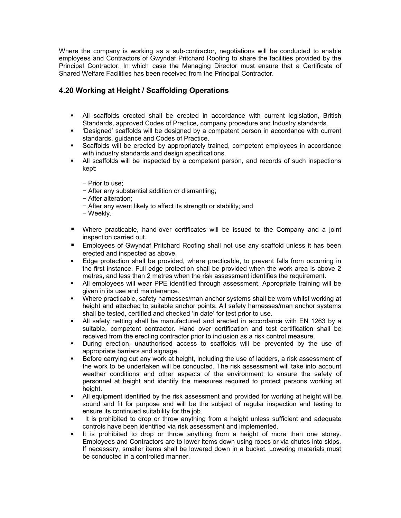Where the company is working as a sub-contractor, negotiations will be conducted to enable employees and Contractors of Gwyndaf Pritchard Roofing to share the facilities provided by the Principal Contractor. In which case the Managing Director must ensure that a Certificate of Shared Welfare Facilities has been received from the Principal Contractor.

#### **4.20 Working at Height / Scaffolding Operations**

- All scaffolds erected shall be erected in accordance with current legislation, British Standards, approved Codes of Practice, company procedure and Industry standards.
- 'Designed' scaffolds will be designed by a competent person in accordance with current standards, guidance and Codes of Practice.
- Scaffolds will be erected by appropriately trained, competent employees in accordance with industry standards and design specifications.
- All scaffolds will be inspected by a competent person, and records of such inspections kept:
	- − Prior to use;
	- − After any substantial addition or dismantling;
	- − After alteration;
	- − After any event likely to affect its strength or stability; and
	- − Weekly.
- Where practicable, hand-over certificates will be issued to the Company and a joint inspection carried out.
- Employees of Gwyndaf Pritchard Roofing shall not use any scaffold unless it has been erected and inspected as above.
- Edge protection shall be provided, where practicable, to prevent falls from occurring in the first instance. Full edge protection shall be provided when the work area is above 2 metres, and less than 2 metres when the risk assessment identifies the requirement.
- All employees will wear PPE identified through assessment. Appropriate training will be given in its use and maintenance.
- Where practicable, safety harnesses/man anchor systems shall be worn whilst working at height and attached to suitable anchor points. All safety harnesses/man anchor systems shall be tested, certified and checked 'in date' for test prior to use.
- All safety netting shall be manufactured and erected in accordance with EN 1263 by a suitable, competent contractor. Hand over certification and test certification shall be received from the erecting contractor prior to inclusion as a risk control measure.
- During erection, unauthorised access to scaffolds will be prevented by the use of appropriate barriers and signage.
- Before carrying out any work at height, including the use of ladders, a risk assessment of the work to be undertaken will be conducted. The risk assessment will take into account weather conditions and other aspects of the environment to ensure the safety of personnel at height and identify the measures required to protect persons working at height.
- All equipment identified by the risk assessment and provided for working at height will be sound and fit for purpose and will be the subject of regular inspection and testing to ensure its continued suitability for the job.
- It is prohibited to drop or throw anything from a height unless sufficient and adequate controls have been identified via risk assessment and implemented.
- It is prohibited to drop or throw anything from a height of more than one storey. Employees and Contractors are to lower items down using ropes or via chutes into skips. If necessary, smaller items shall be lowered down in a bucket. Lowering materials must be conducted in a controlled manner.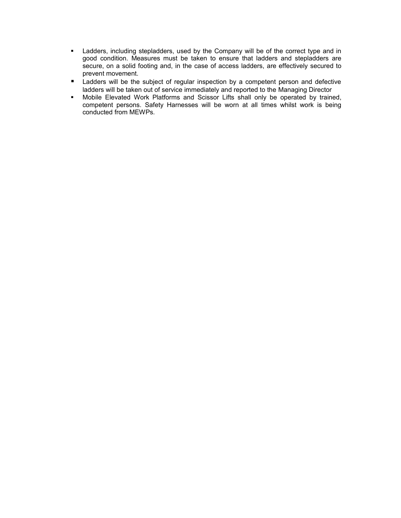- **-** Ladders, including stepladders, used by the Company will be of the correct type and in good condition. Measures must be taken to ensure that ladders and stepladders are secure, on a solid footing and, in the case of access ladders, are effectively secured to prevent movement.
- **E** Ladders will be the subject of regular inspection by a competent person and defective ladders will be taken out of service immediately and reported to the Managing Director
- Mobile Elevated Work Platforms and Scissor Lifts shall only be operated by trained, competent persons. Safety Harnesses will be worn at all times whilst work is being conducted from MEWPs.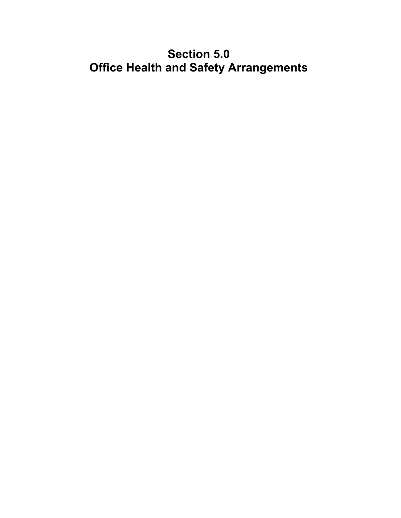### **Section 5.0 Office Health and Safety Arrangements**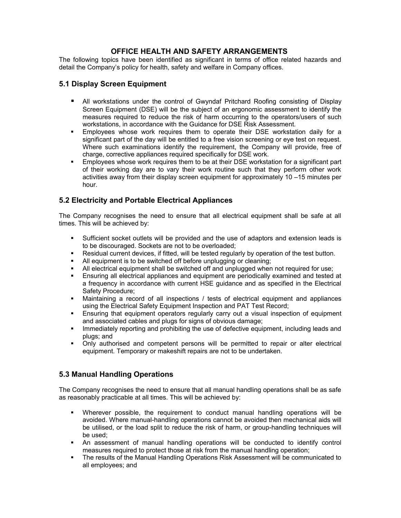#### **OFFICE HEALTH AND SAFETY ARRANGEMENTS**

The following topics have been identified as significant in terms of office related hazards and detail the Company's policy for health, safety and welfare in Company offices.

#### **5.1 Display Screen Equipment**

- All workstations under the control of Gwyndaf Pritchard Roofing consisting of Display Screen Equipment (DSE) will be the subject of an ergonomic assessment to identify the measures required to reduce the risk of harm occurring to the operators/users of such workstations, in accordance with the Guidance for DSE Risk Assessment.
- Employees whose work requires them to operate their DSE workstation daily for a significant part of the day will be entitled to a free vision screening or eye test on request. Where such examinations identify the requirement, the Company will provide, free of charge, corrective appliances required specifically for DSE work.
- Employees whose work requires them to be at their DSE workstation for a significant part of their working day are to vary their work routine such that they perform other work activities away from their display screen equipment for approximately 10 –15 minutes per hour.

#### **5.2 Electricity and Portable Electrical Appliances**

The Company recognises the need to ensure that all electrical equipment shall be safe at all times. This will be achieved by:

- Sufficient socket outlets will be provided and the use of adaptors and extension leads is to be discouraged. Sockets are not to be overloaded;
- Residual current devices, if fitted, will be tested regularly by operation of the test button.
- All equipment is to be switched off before unplugging or cleaning;
- All electrical equipment shall be switched off and unplugged when not required for use;
- Ensuring all electrical appliances and equipment are periodically examined and tested at a frequency in accordance with current HSE guidance and as specified in the Electrical Safety Procedure;
- Maintaining a record of all inspections / tests of electrical equipment and appliances using the Electrical Safety Equipment Inspection and PAT Test Record;
- Ensuring that equipment operators regularly carry out a visual inspection of equipment and associated cables and plugs for signs of obvious damage;
- **IMMED 19 Immediately reporting and prohibiting the use of defective equipment, including leads and** plugs; and
- Only authorised and competent persons will be permitted to repair or alter electrical equipment. Temporary or makeshift repairs are not to be undertaken.

#### **5.3 Manual Handling Operations**

The Company recognises the need to ensure that all manual handling operations shall be as safe as reasonably practicable at all times. This will be achieved by:

- Wherever possible, the requirement to conduct manual handling operations will be avoided. Where manual-handling operations cannot be avoided then mechanical aids will be utilised, or the load split to reduce the risk of harm, or group-handling techniques will be used;
- An assessment of manual handling operations will be conducted to identify control measures required to protect those at risk from the manual handling operation;
- The results of the Manual Handling Operations Risk Assessment will be communicated to all employees; and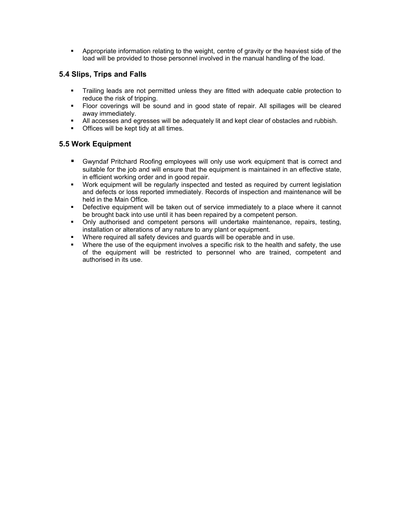Appropriate information relating to the weight, centre of gravity or the heaviest side of the load will be provided to those personnel involved in the manual handling of the load.

#### **5.4 Slips, Trips and Falls**

- Trailing leads are not permitted unless they are fitted with adequate cable protection to reduce the risk of tripping.
- Floor coverings will be sound and in good state of repair. All spillages will be cleared away immediately.
- All accesses and egresses will be adequately lit and kept clear of obstacles and rubbish.
- **•** Offices will be kept tidy at all times.

#### **5.5 Work Equipment**

- Gwyndaf Pritchard Roofing employees will only use work equipment that is correct and suitable for the job and will ensure that the equipment is maintained in an effective state, in efficient working order and in good repair.
- Work equipment will be regularly inspected and tested as required by current legislation and defects or loss reported immediately. Records of inspection and maintenance will be held in the Main Office.
- **•** Defective equipment will be taken out of service immediately to a place where it cannot be brought back into use until it has been repaired by a competent person.
- Only authorised and competent persons will undertake maintenance, repairs, testing, installation or alterations of any nature to any plant or equipment.
- Where required all safety devices and guards will be operable and in use.
- Where the use of the equipment involves a specific risk to the health and safety, the use of the equipment will be restricted to personnel who are trained, competent and authorised in its use.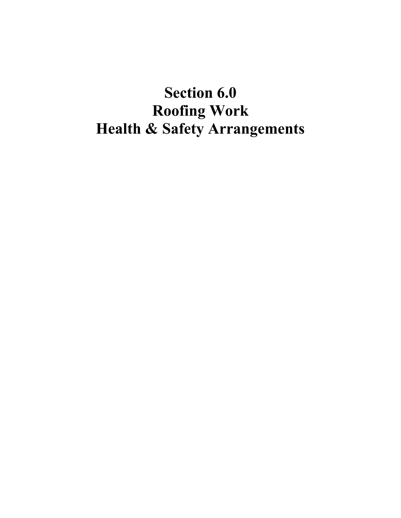## **Section 6.0 Roofing Work Health & Safety Arrangements**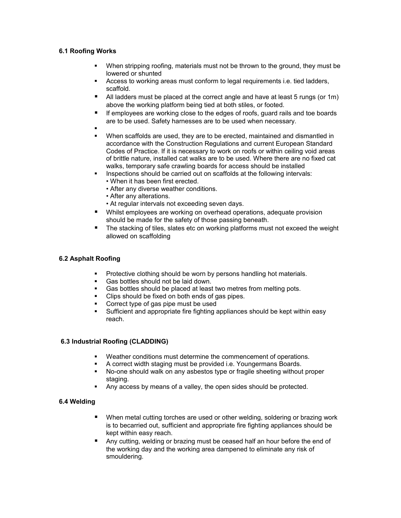#### **6.1 Roofing Works**

- When stripping roofing, materials must not be thrown to the ground, they must be lowered or shunted
- Access to working areas must conform to legal requirements i.e. tied ladders, scaffold.
- All ladders must be placed at the correct angle and have at least 5 rungs (or 1m) above the working platform being tied at both stiles, or footed.
- If employees are working close to the edges of roofs, guard rails and toe boards are to be used. Safety harnesses are to be used when necessary.
- :
- When scaffolds are used, they are to be erected, maintained and dismantled in accordance with the Construction Regulations and current European Standard Codes of Practice. If it is necessary to work on roofs or within ceiling void areas of brittle nature, installed cat walks are to be used. Where there are no fixed cat walks, temporary safe crawling boards for access should be installed
- **Inspections should be carried out on scaffolds at the following intervals:** • When it has been first erected.
	- After any diverse weather conditions.
	- After any alterations.
	- At regular intervals not exceeding seven days.
- Whilst employees are working on overhead operations, adequate provision should be made for the safety of those passing beneath.
- The stacking of tiles, slates etc on working platforms must not exceed the weight allowed on scaffolding

#### **6.2 Asphalt Roofing**

- **Protective clothing should be worn by persons handling hot materials.**
- Gas bottles should not be laid down.
- Gas bottles should be placed at least two metres from melting pots.
- Clips should be fixed on both ends of gas pipes.<br>• Correct type of gas pipe must be used<br>• Sufficient and appropriate fire fighting appliances
- Correct type of gas pipe must be used
- Sufficient and appropriate fire fighting appliances should be kept within easy reach.

#### **6.3 Industrial Roofing (CLADDING)**

- Weather conditions must determine the commencement of operations.
- A correct width staging must be provided i.e. Youngermans Boards.
- No-one should walk on any asbestos type or fragile sheeting without proper staging.
- Any access by means of a valley, the open sides should be protected.

#### **6.4 Welding**

- When metal cutting torches are used or other welding, soldering or brazing work is to becarried out, sufficient and appropriate fire fighting appliances should be kept within easy reach.
- Any cutting, welding or brazing must be ceased half an hour before the end of the working day and the working area dampened to eliminate any risk of smouldering.